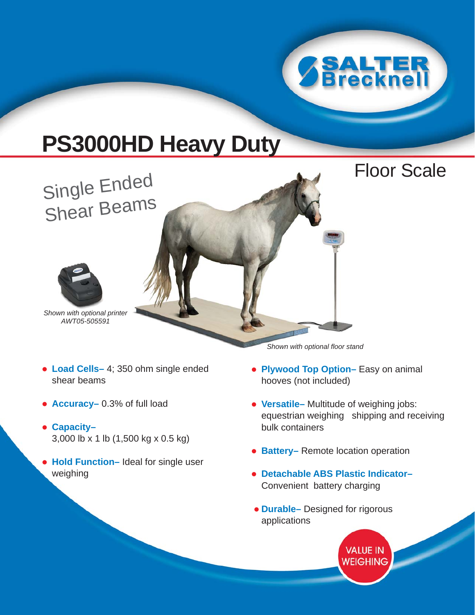

Floor Scale

# **PS3000HD Heavy Duty**

Single Ended Shear Beams



*Shown with optional printer AWT05-505591*

- **Load Cells–** 4; 350 ohm single ended shear beams
- **Accuracy–** 0.3% of full load
- **Capacity–** 3,000 lb x 1 lb (1,500 kg x 0.5 kg)
- **Hold Function–** Ideal for single user weighing

*Shown with optional floor stand*

- **Plywood Top Option–** Easy on animal hooves (not included)
- **Versatile–** Multitude of weighing jobs: equestrian weighing shipping and receiving bulk containers
- **Battery–** Remote location operation
- **Detachable ABS Plastic Indicator–** Convenient battery charging
- **Durable–** Designed for rigorous applications